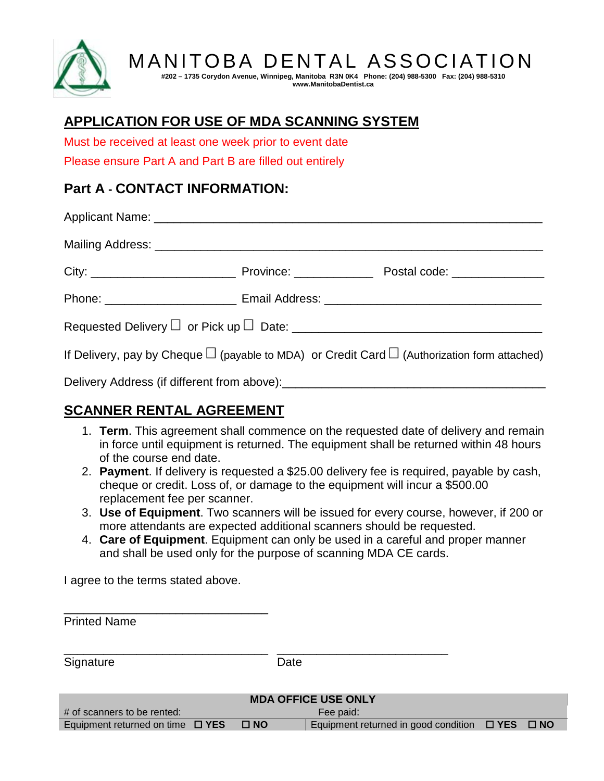

# MANITOBA DENTAL ASSOCIATION

**#202 – 1735 Corydon Avenue, Winnipeg, Manitoba R3N 0K4 Phone: (204) 988-5300 Fax: (204) 988-5310 www.ManitobaDentist.ca**

### **APPLICATION FOR USE OF MDA SCANNING SYSTEM**

Must be received at least one week prior to event date

Please ensure Part A and Part B are filled out entirely

#### **Part A - CONTACT INFORMATION:**

| If Delivery, pay by Cheque $\square$ (payable to MDA) or Credit Card $\square$ (Authorization form attached) |  |
|--------------------------------------------------------------------------------------------------------------|--|
|                                                                                                              |  |

Delivery Address (if different from above):

### **SCANNER RENTAL AGREEMENT**

- 1. **Term**. This agreement shall commence on the requested date of delivery and remain in force until equipment is returned. The equipment shall be returned within 48 hours of the course end date.
- 2. **Payment**. If delivery is requested a \$25.00 delivery fee is required, payable by cash, cheque or credit. Loss of, or damage to the equipment will incur a \$500.00 replacement fee per scanner.
- 3. **Use of Equipment**. Two scanners will be issued for every course, however, if 200 or more attendants are expected additional scanners should be requested.
- 4. **Care of Equipment**. Equipment can only be used in a careful and proper manner and shall be used only for the purpose of scanning MDA CE cards.

I agree to the terms stated above.

| <b>Printed Name</b>                                                    |              |                                                           |  |  |  |  |  |
|------------------------------------------------------------------------|--------------|-----------------------------------------------------------|--|--|--|--|--|
| Signature                                                              | Date         |                                                           |  |  |  |  |  |
| <b>MDA OFFICE USE ONLY</b><br># of scanners to be rented:<br>Fee paid: |              |                                                           |  |  |  |  |  |
| Equipment returned on time $\Box$ YES                                  | $\square$ NO | Equipment returned in good condition $\Box$ YES $\Box$ NO |  |  |  |  |  |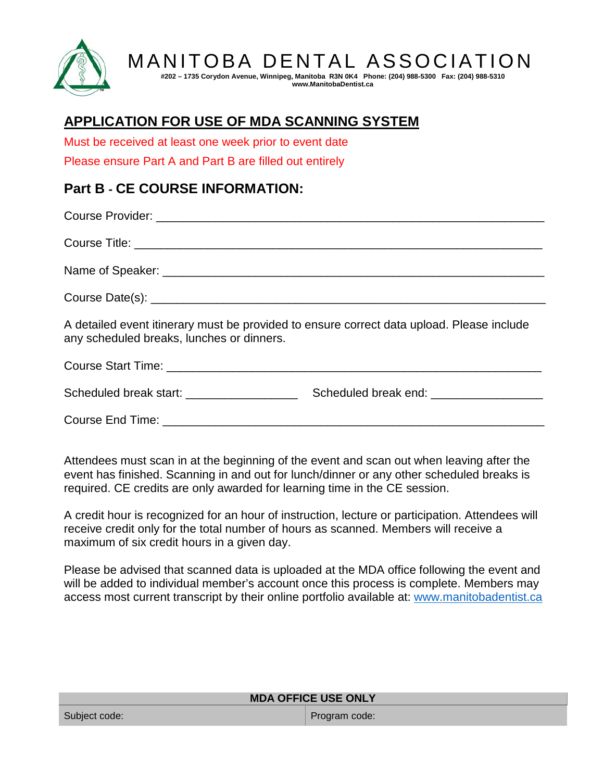

## MANITOBA DENTAL ASSOCIATION

**#202 – 1735 Corydon Avenue, Winnipeg, Manitoba R3N 0K4 Phone: (204) 988-5300 Fax: (204) 988-5310 www.ManitobaDentist.ca**

### **APPLICATION FOR USE OF MDA SCANNING SYSTEM**

Must be received at least one week prior to event date

Please ensure Part A and Part B are filled out entirely

#### **Part B - CE COURSE INFORMATION:**

| A detailed event itinerary must be provided to ensure correct data upload. Please include<br>any scheduled breaks, lunches or dinners. |  |  |  |  |
|----------------------------------------------------------------------------------------------------------------------------------------|--|--|--|--|
|                                                                                                                                        |  |  |  |  |
| Scheduled break start: ___________________<br>Scheduled break end: ____________________                                                |  |  |  |  |
| <b>Course End Time:</b>                                                                                                                |  |  |  |  |

Attendees must scan in at the beginning of the event and scan out when leaving after the event has finished. Scanning in and out for lunch/dinner or any other scheduled breaks is required. CE credits are only awarded for learning time in the CE session.

A credit hour is recognized for an hour of instruction, lecture or participation. Attendees will receive credit only for the total number of hours as scanned. Members will receive a maximum of six credit hours in a given day.

Please be advised that scanned data is uploaded at the MDA office following the event and will be added to individual member's account once this process is complete. Members may access most current transcript by their online portfolio available at: [www.manitobadentist.ca](http://www.manitobadentist.ca/)

| <b>MDA OFFICE USE ONLY</b> |               |  |  |
|----------------------------|---------------|--|--|
| Subject code:              | Program code: |  |  |